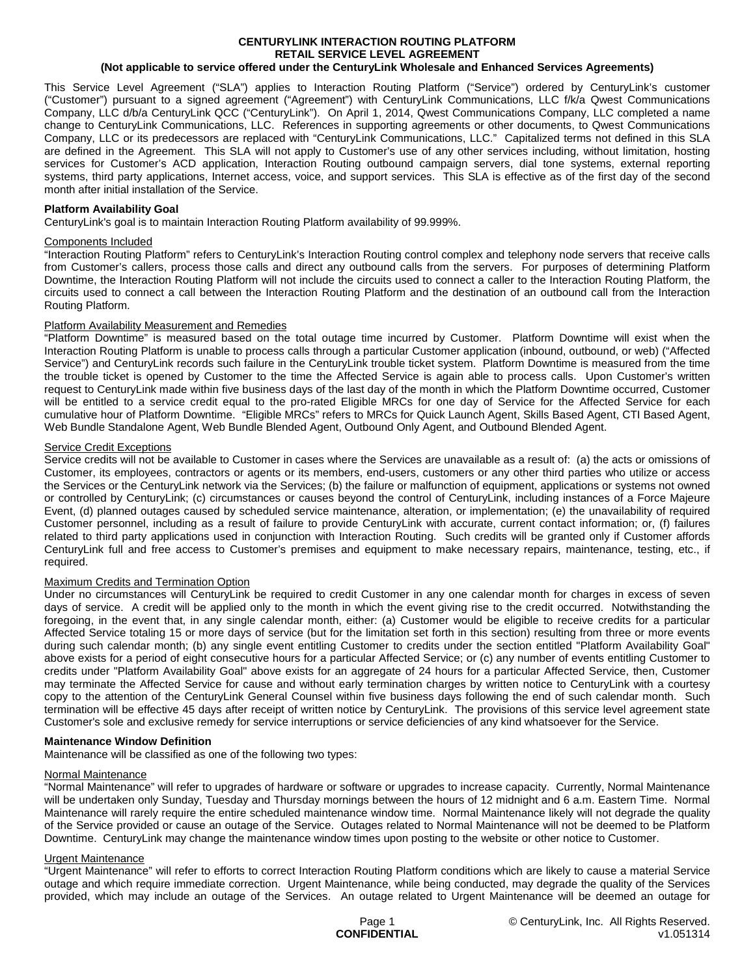#### **CENTURYLINK INTERACTION ROUTING PLATFORM RETAIL SERVICE LEVEL AGREEMENT (Not applicable to service offered under the CenturyLink Wholesale and Enhanced Services Agreements)**

This Service Level Agreement ("SLA") applies to Interaction Routing Platform ("Service") ordered by CenturyLink's customer ("Customer") pursuant to a signed agreement ("Agreement") with CenturyLink Communications, LLC f/k/a Qwest Communications Company, LLC d/b/a CenturyLink QCC ("CenturyLink"). On April 1, 2014, Qwest Communications Company, LLC completed a name change to CenturyLink Communications, LLC. References in supporting agreements or other documents, to Qwest Communications Company, LLC or its predecessors are replaced with "CenturyLink Communications, LLC." Capitalized terms not defined in this SLA are defined in the Agreement. This SLA will not apply to Customer's use of any other services including, without limitation, hosting services for Customer's ACD application, Interaction Routing outbound campaign servers, dial tone systems, external reporting systems, third party applications, Internet access, voice, and support services. This SLA is effective as of the first day of the second month after initial installation of the Service.

# **Platform Availability Goal**

CenturyLink's goal is to maintain Interaction Routing Platform availability of 99.999%.

### Components Included

"Interaction Routing Platform" refers to CenturyLink's Interaction Routing control complex and telephony node servers that receive calls from Customer's callers, process those calls and direct any outbound calls from the servers. For purposes of determining Platform Downtime, the Interaction Routing Platform will not include the circuits used to connect a caller to the Interaction Routing Platform, the circuits used to connect a call between the Interaction Routing Platform and the destination of an outbound call from the Interaction Routing Platform.

# Platform Availability Measurement and Remedies

"Platform Downtime" is measured based on the total outage time incurred by Customer. Platform Downtime will exist when the Interaction Routing Platform is unable to process calls through a particular Customer application (inbound, outbound, or web) ("Affected Service") and CenturyLink records such failure in the CenturyLink trouble ticket system. Platform Downtime is measured from the time the trouble ticket is opened by Customer to the time the Affected Service is again able to process calls. Upon Customer's written request to CenturyLink made within five business days of the last day of the month in which the Platform Downtime occurred, Customer will be entitled to a service credit equal to the pro-rated Eligible MRCs for one day of Service for the Affected Service for each cumulative hour of Platform Downtime. "Eligible MRCs" refers to MRCs for Quick Launch Agent, Skills Based Agent, CTI Based Agent, Web Bundle Standalone Agent, Web Bundle Blended Agent, Outbound Only Agent, and Outbound Blended Agent.

# Service Credit Exceptions

Service credits will not be available to Customer in cases where the Services are unavailable as a result of: (a) the acts or omissions of Customer, its employees, contractors or agents or its members, end-users, customers or any other third parties who utilize or access the Services or the CenturyLink network via the Services; (b) the failure or malfunction of equipment, applications or systems not owned or controlled by CenturyLink; (c) circumstances or causes beyond the control of CenturyLink, including instances of a Force Majeure Event, (d) planned outages caused by scheduled service maintenance, alteration, or implementation; (e) the unavailability of required Customer personnel, including as a result of failure to provide CenturyLink with accurate, current contact information; or, (f) failures related to third party applications used in conjunction with Interaction Routing. Such credits will be granted only if Customer affords CenturyLink full and free access to Customer's premises and equipment to make necessary repairs, maintenance, testing, etc., if required.

# Maximum Credits and Termination Option

Under no circumstances will CenturyLink be required to credit Customer in any one calendar month for charges in excess of seven days of service. A credit will be applied only to the month in which the event giving rise to the credit occurred. Notwithstanding the foregoing, in the event that, in any single calendar month, either: (a) Customer would be eligible to receive credits for a particular Affected Service totaling 15 or more days of service (but for the limitation set forth in this section) resulting from three or more events during such calendar month; (b) any single event entitling Customer to credits under the section entitled "Platform Availability Goal" above exists for a period of eight consecutive hours for a particular Affected Service; or (c) any number of events entitling Customer to credits under "Platform Availability Goal" above exists for an aggregate of 24 hours for a particular Affected Service, then, Customer may terminate the Affected Service for cause and without early termination charges by written notice to CenturyLink with a courtesy copy to the attention of the CenturyLink General Counsel within five business days following the end of such calendar month. Such termination will be effective 45 days after receipt of written notice by CenturyLink. The provisions of this service level agreement state Customer's sole and exclusive remedy for service interruptions or service deficiencies of any kind whatsoever for the Service.

### **Maintenance Window Definition**

Maintenance will be classified as one of the following two types:

### Normal Maintenance

"Normal Maintenance" will refer to upgrades of hardware or software or upgrades to increase capacity. Currently, Normal Maintenance will be undertaken only Sunday, Tuesday and Thursday mornings between the hours of 12 midnight and 6 a.m. Eastern Time. Normal Maintenance will rarely require the entire scheduled maintenance window time. Normal Maintenance likely will not degrade the quality of the Service provided or cause an outage of the Service. Outages related to Normal Maintenance will not be deemed to be Platform Downtime. CenturyLink may change the maintenance window times upon posting to the website or other notice to Customer.

# Urgent Maintenance

"Urgent Maintenance" will refer to efforts to correct Interaction Routing Platform conditions which are likely to cause a material Service outage and which require immediate correction. Urgent Maintenance, while being conducted, may degrade the quality of the Services provided, which may include an outage of the Services. An outage related to Urgent Maintenance will be deemed an outage for